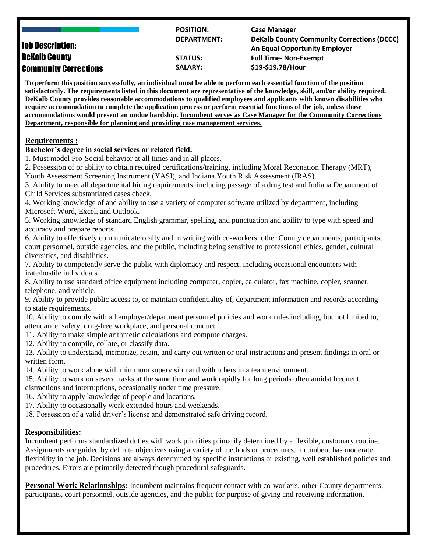|                              | <b>POSITION:</b>   | <b>Case Manager</b>                               |
|------------------------------|--------------------|---------------------------------------------------|
|                              | <b>DEPARTMENT:</b> | <b>DeKalb County Community Corrections (DCCC)</b> |
| <b>Job Description:</b>      |                    | <b>An Equal Opportunity Employer</b>              |
| <b>DeKalb County</b>         | <b>STATUS:</b>     | <b>Full Time- Non-Exempt</b>                      |
| <b>Community Corrections</b> | <b>SALARY:</b>     | \$19-\$19.78/Hour                                 |

**To perform this position successfully, an individual must be able to perform each essential function of the position satisfactorily. The requirements listed in this document are representative of the knowledge, skill, and/or ability required. DeKalb County provides reasonable accommodations to qualified employees and applicants with known disabilities who require accommodation to complete the application process or perform essential functions of the job, unless those accommodations would present an undue hardship. Incumbent serves as Case Manager for the Community Corrections Department, responsible for planning and providing case management services.**

#### **Requirements :**

#### **Bachelor's degree in social services or related field.**

1. Must model Pro-Social behavior at all times and in all places.

2. Possession of or ability to obtain required certifications/training, including Moral Reconation Therapy (MRT), Youth Assessment Screening Instrument (YASI), and Indiana Youth Risk Assessment (IRAS).

3. Ability to meet all departmental hiring requirements, including passage of a drug test and Indiana Department of Child Services substantiated cases check.

4. Working knowledge of and ability to use a variety of computer software utilized by department, including Microsoft Word, Excel, and Outlook.

5. Working knowledge of standard English grammar, spelling, and punctuation and ability to type with speed and accuracy and prepare reports.

6. Ability to effectively communicate orally and in writing with co-workers, other County departments, participants, court personnel, outside agencies, and the public, including being sensitive to professional ethics, gender, cultural diversities, and disabilities.

7. Ability to competently serve the public with diplomacy and respect, including occasional encounters with irate/hostile individuals.

8. Ability to use standard office equipment including computer, copier, calculator, fax machine, copier, scanner, telephone, and vehicle.

9. Ability to provide public access to, or maintain confidentiality of, department information and records according to state requirements.

10. Ability to comply with all employer/department personnel policies and work rules including, but not limited to, attendance, safety, drug-free workplace, and personal conduct.

11. Ability to make simple arithmetic calculations and compute charges.

12. Ability to compile, collate, or classify data.

13. Ability to understand, memorize, retain, and carry out written or oral instructions and present findings in oral or written form.

14. Ability to work alone with minimum supervision and with others in a team environment.

15. Ability to work on several tasks at the same time and work rapidly for long periods often amidst frequent distractions and interruptions, occasionally under time pressure.

16. Ability to apply knowledge of people and locations.

17. Ability to occasionally work extended hours and weekends.

18. Possession of a valid driver's license and demonstrated safe driving record.

### **Responsibilities:**

Incumbent performs standardized duties with work priorities primarily determined by a flexible, customary routine. Assignments are guided by definite objectives using a variety of methods or procedures. Incumbent has moderate flexibility in the job. Decisions are always determined by specific instructions or existing, well established policies and procedures. Errors are primarily detected though procedural safeguards.

**Personal Work Relationships:** Incumbent maintains frequent contact with co-workers, other County departments, participants, court personnel, outside agencies, and the public for purpose of giving and receiving information.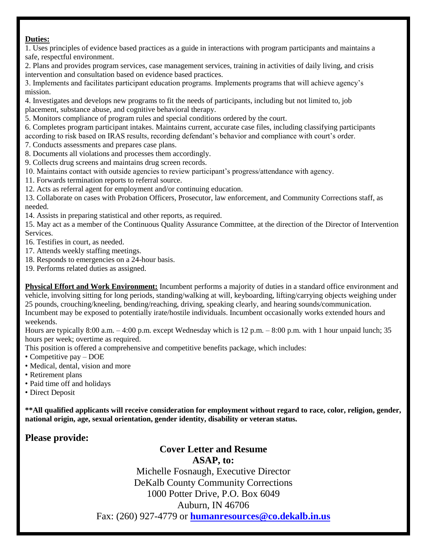### **Duties:**

1. Uses principles of evidence based practices as a guide in interactions with program participants and maintains a safe, respectful environment.

2. Plans and provides program services, case management services, training in activities of daily living, and crisis intervention and consultation based on evidence based practices.

3. Implements and facilitates participant education programs. Implements programs that will achieve agency's mission.

4. Investigates and develops new programs to fit the needs of participants, including but not limited to, job placement, substance abuse, and cognitive behavioral therapy.

5. Monitors compliance of program rules and special conditions ordered by the court.

6. Completes program participant intakes. Maintains current, accurate case files, including classifying participants

according to risk based on IRAS results, recording defendant's behavior and compliance with court's order.

7. Conducts assessments and prepares case plans.

8. Documents all violations and processes them accordingly.

9. Collects drug screens and maintains drug screen records.

10. Maintains contact with outside agencies to review participant's progress/attendance with agency.

11. Forwards termination reports to referral source.

12. Acts as referral agent for employment and/or continuing education.

13. Collaborate on cases with Probation Officers, Prosecutor, law enforcement, and Community Corrections staff, as needed.

14. Assists in preparing statistical and other reports, as required.

15. May act as a member of the Continuous Quality Assurance Committee, at the direction of the Director of Intervention Services.

16. Testifies in court, as needed.

17. Attends weekly staffing meetings.

18. Responds to emergencies on a 24-hour basis.

19. Performs related duties as assigned.

**Physical Effort and Work Environment:** Incumbent performs a majority of duties in a standard office environment and vehicle, involving sitting for long periods, standing/walking at will, keyboarding, lifting/carrying objects weighing under 25 pounds, crouching/kneeling, bending/reaching, driving, speaking clearly, and hearing sounds/communication. Incumbent may be exposed to potentially irate/hostile individuals. Incumbent occasionally works extended hours and weekends.

Hours are typically 8:00 a.m. – 4:00 p.m. except Wednesday which is 12 p.m. – 8:00 p.m. with 1 hour unpaid lunch; 35 hours per week; overtime as required.

This position is offered a comprehensive and competitive benefits package, which includes:

• Competitive pay – DOE

- Medical, dental, vision and more
- Retirement plans
- Paid time off and holidays
- Direct Deposit

**\*\*All qualified applicants will receive consideration for employment without regard to race, color, religion, gender, national origin, age, sexual orientation, gender identity, disability or veteran status.**

# **Please provide:**

## **Cover Letter and Resume**

**ASAP, to:**

Michelle Fosnaugh, Executive Director DeKalb County Community Corrections 1000 Potter Drive, P.O. Box 6049 Auburn, IN 46706 Fax: (260) 927-4779 or **[humanresources@co.dekalb.in.us](mailto:humanresources@co.dekalb.in.us)**